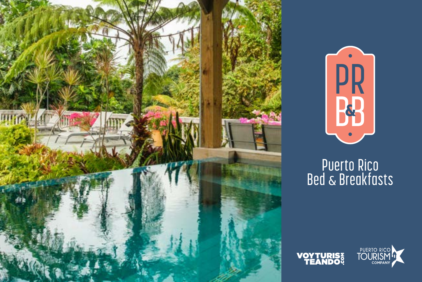



## Puerto Rico<br>Bed & Breakfasts



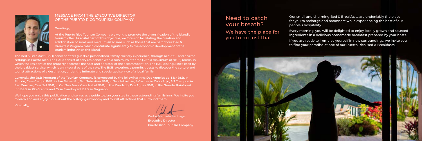Our small and charming Bed & Breakfasts are undeniably the place for you to recharge and reconnect while experiencing the best of our people's hospitality.

Every morning, you will be delighted to enjoy locally grown and sourced ingredients in a delicious homemade breakfast prepared by your hosts.

If you are ready to immerse yourself in new surroundings, we invite you to find your paradise at one of our Puerto Rico Bed & Breakfasts.

Need to catch your breath? We have the place for you to do just that.





#### MESSAGE FROM THE EXECUTIVE DIRECTOR OF THE PUERTO RICO TOURISM COMPANY

Greetings,

At the Puerto Rico Tourism Company we work to promote the diversification of the island's tourism offer. As a vital part of this objective, we focus on facilitating the creation and solidification of small and medium-sized inns such as those that are part of our Bed & Breakfast Program, which contribute significantly to the economic development of the tourism industry on the Island.

The Bed & Breakfast (B&B) concept offers guests a personalized, family-friendly experience, through beautiful and diverse settings in Puerto Rico. The B&Bs consist of cozy residences with a minimum of three (3) to a maximum of six (6) rooms, in which the resident of the property becomes the host and operator of the accommodation. The B&B distinguishes itself by the breakfast service, which is an integral part of the rate. The B&B experience permits guests to discover the culture and tourist attractions of a destination, under the intimate and specialized service of a local family.

Currently, the B&B Program of the Tourism Company is composed by the following inns: Dos Ángeles del Mar B&B, in Rincón; Casa Campo B&B, in San Sebastián; San Sebastián B&B, in San Sebastián; 4 Casitas, in Cabo Rojo; A 2 Tiempos, in San Germán; Casa Sol B&B, in Old San Juan; Casa Isabel B&B, in the Condado; Dos Aguas B&B, in Río Grande; Rainforest Inn B&B, in Río Grande and Casa Flamboyant B&B, in Naguabo.

We hope you enjoy this publication and serves as a guide to plan your stay in these astounding family inns. We invite you to learn and and enjoy more about the history, gastronomy and tourist attractions that surround them.

Cordially,

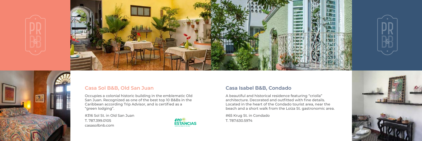#### **Casa Isabel B&B, Condado**

A beautiful and historical residence featuring "criolla" architecture. Decorated and outfitted with fine details. Located in the heart of the Condado tourist area, near the beach and a short walk from the Loíza St. gastronomic area.

#65 Krug St. in Condado T. 787.630.5974









#### **Casa Sol B&B, Old San Juan**

Occupies a colonial historic building in the emblematic Old San Juan. Recognized as one of the best top 10 B&Bs in the Caribbean according Trip Advisor, and is certified as a "green lodging".

#316 Sol St. in Old San Juan T. 787.399.0105 casasolbnb.com

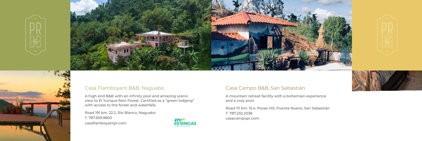#### Casa Campo B&B, San Sebastián

A mountain retreat facility with a bohemian experience and a cozy pool.

Road 111 km. 15.4, Pozas Hill, Puente Nuevo, San Sebastián T. 787.232.2038 casacampopr.com







#### Casa Flamboyant B&B, Naguabo

A high end B&B with an infinity pool and amazing scenic view to El Yunque Rain Forest. Certified as a "green lodging" with access to the forest and waterfalls.

Road 191 km. 22.2, Río Blanco, Naguabo T. 787.559.9800 casaflamboyantpr.com

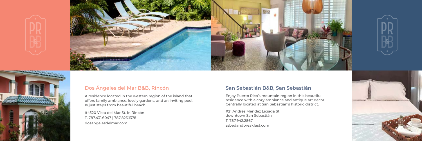#### **San Sebastián B&B, San Sebastián**

Enjoy Puerto Rico's mountain region in this beautiful residence with a cozy ambiance and antique art décor. Centrally located at San Sebastian's historic district.

#21 Andrés Méndez Liciaga St. downtown San Sebastián T. 787.942.2867 ssbedandbreakfast.com









## **Dos Ángeles del Mar B&B, Rincón**

A residence located in the western region of the island that offers family ambiance, lovely gardens, and an inviting pool. Is just steps from beautiful beach.

#4320 Vista del Mar St. in Rincón T. 787.431.6047 | 787.823.1378 dosangelesdelmar.com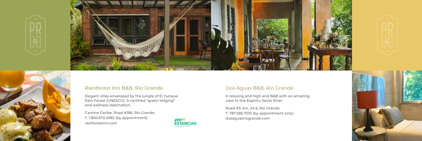#### Dos Aguas B&B, Río Grande

A relaxing and high end B&B with an amazing view to the Espíritu Santo River.

Road #3, km. 24.9, Río Grande T. 787.585.7010 (by appointment only) dosaguasriogrande.com









#### **Rainforest Inn B&B, Río Grande**

Elegant villas enveloped by the jungle of El Yunque Rain Forest (UNESCO). A certified "green lodging" and wellness destination.

Camino Caribe, Road #186, Río Grande T. 1.800.672.4992 (by appointment) rainforestinn.com

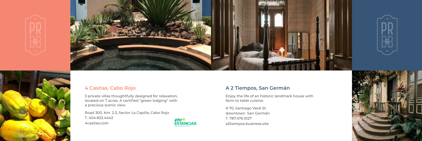## **A 2 Tiempos, San Germán**

Enjoy the life of an historic landmark house with farm to table cuisine.

# 70, Santiago Vevé St. downtown San Germán T. 787.476.1027 a2tiempos.business.site







## **4 Casitas, Cabo Rojo**

3 private villas thoughtfully designed for relaxation, located on 7 acres. A certified "green lodging" with a precious scenic view.

Road 300, Km. 2.3, Sector La Capilla, Cabo Rojo T. 404.822.4442 4casitas.com

## **FCOM**<br>ESTANCIAS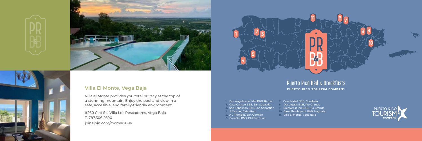

8 9

10

- **1.** Dos Ángeles del Mar B&B, Rincón
- **2.** Casa Campo B&B, San Sebastián
- **3.** San Sebastián B&B, San Sebastián
- **4.** 4 Casitas, Cabo Rojo
- **5.** A 2 Tiempos, San Germán
- **6.** Casa Sol B&B, Old San Juan
- 
- 
- 
- 
- 
- 
- 
- 

## **Puerto Rico Bed & Breakfasts** PUERTO RICO TOURISM COMPANY

 $\mathbf{U}_{\text{max}}$  67

**7.** Casa Isabel B&B, Condado **8.** Dos Aguas B&B, Río Grande **9.** Rainforest Inn B&B, Río Grande **10.** Casa Flamboyant B&B, Naguabo **11.** Villa El Monte, Vega Baja









#### **Villa El Monte, Vega Baja**

Villa el Monte provides you total privacy at the top of a stunning mountain. Enjoy the pool and view in a safe, accesible, and family-friendly environment.

#260 Cetí St., Villa Los Pescadores, Vega Baja T. 787.306.2690 joinajoin.com/rooms/2096